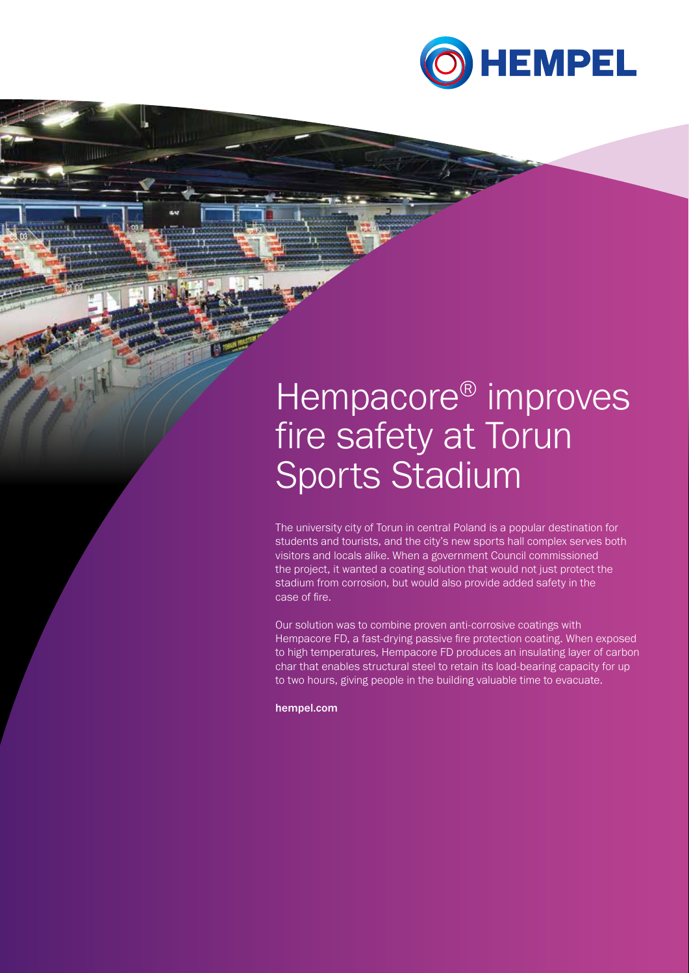

# Hempacore<sup>®</sup> improves fire safety at Torun Sports Stadium

The university city of Torun in central Poland is a popular destination for students and tourists, and the city's new sports hall complex serves both visitors and locals alike. When a government Council commissioned the project, it wanted a coating solution that would not just protect the stadium from corrosion, but would also provide added safety in the case of fire.

Our solution was to combine proven anti-corrosive coatings with Hempacore FD, a fast-drying passive fire protection coating. When exposed to high temperatures, Hempacore FD produces an insulating layer of carbon char that enables structural steel to retain its load-bearing capacity for up to two hours, giving people in the building valuable time to evacuate.

hempel.com